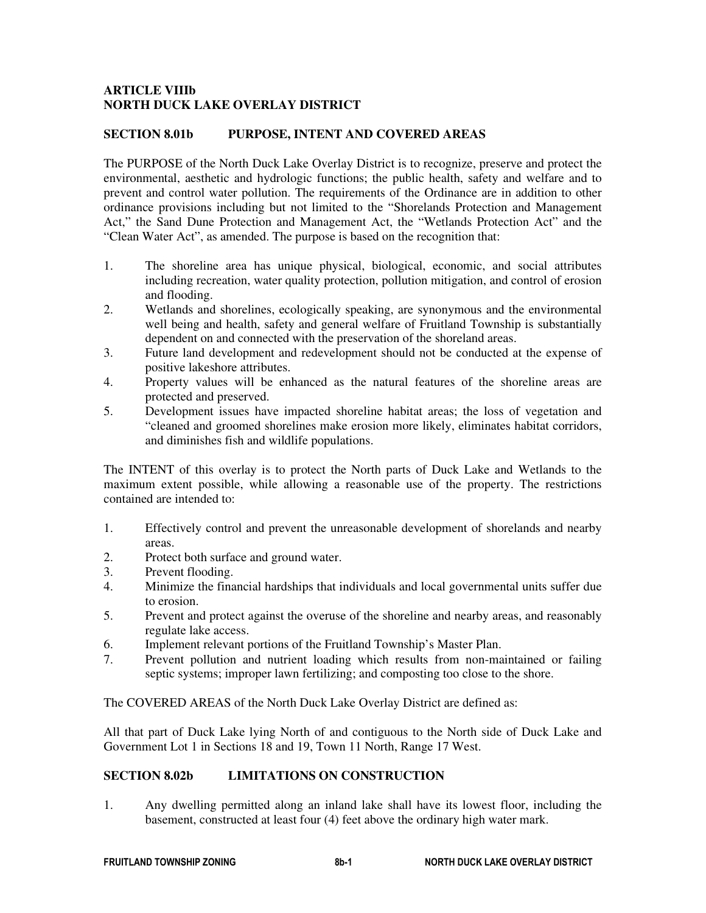## **ARTICLE VIIIb NORTH DUCK LAKE OVERLAY DISTRICT**

### **SECTION 8.01b PURPOSE, INTENT AND COVERED AREAS**

The PURPOSE of the North Duck Lake Overlay District is to recognize, preserve and protect the environmental, aesthetic and hydrologic functions; the public health, safety and welfare and to prevent and control water pollution. The requirements of the Ordinance are in addition to other ordinance provisions including but not limited to the "Shorelands Protection and Management Act," the Sand Dune Protection and Management Act, the "Wetlands Protection Act" and the "Clean Water Act", as amended. The purpose is based on the recognition that:

- 1. The shoreline area has unique physical, biological, economic, and social attributes including recreation, water quality protection, pollution mitigation, and control of erosion and flooding.
- 2. Wetlands and shorelines, ecologically speaking, are synonymous and the environmental well being and health, safety and general welfare of Fruitland Township is substantially dependent on and connected with the preservation of the shoreland areas.
- 3. Future land development and redevelopment should not be conducted at the expense of positive lakeshore attributes.
- 4. Property values will be enhanced as the natural features of the shoreline areas are protected and preserved.
- 5. Development issues have impacted shoreline habitat areas; the loss of vegetation and "cleaned and groomed shorelines make erosion more likely, eliminates habitat corridors, and diminishes fish and wildlife populations.

The INTENT of this overlay is to protect the North parts of Duck Lake and Wetlands to the maximum extent possible, while allowing a reasonable use of the property. The restrictions contained are intended to:

- 1. Effectively control and prevent the unreasonable development of shorelands and nearby areas.
- 2. Protect both surface and ground water.
- 3. Prevent flooding.
- 4. Minimize the financial hardships that individuals and local governmental units suffer due to erosion.
- 5. Prevent and protect against the overuse of the shoreline and nearby areas, and reasonably regulate lake access.
- 6. Implement relevant portions of the Fruitland Township's Master Plan.
- 7. Prevent pollution and nutrient loading which results from non-maintained or failing septic systems; improper lawn fertilizing; and composting too close to the shore.

The COVERED AREAS of the North Duck Lake Overlay District are defined as:

All that part of Duck Lake lying North of and contiguous to the North side of Duck Lake and Government Lot 1 in Sections 18 and 19, Town 11 North, Range 17 West.

# **SECTION 8.02b LIMITATIONS ON CONSTRUCTION**

1. Any dwelling permitted along an inland lake shall have its lowest floor, including the basement, constructed at least four (4) feet above the ordinary high water mark.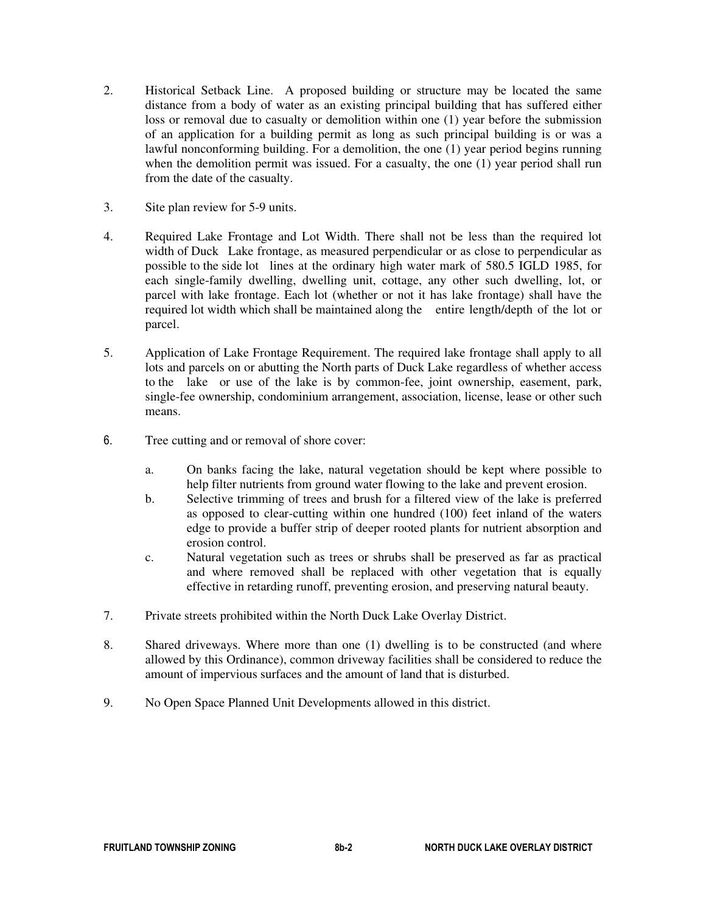- 2. Historical Setback Line. A proposed building or structure may be located the same distance from a body of water as an existing principal building that has suffered either loss or removal due to casualty or demolition within one (1) year before the submission of an application for a building permit as long as such principal building is or was a lawful nonconforming building. For a demolition, the one (1) year period begins running when the demolition permit was issued. For a casualty, the one (1) year period shall run from the date of the casualty.
- 3. Site plan review for 5-9 units.
- 4. Required Lake Frontage and Lot Width. There shall not be less than the required lot width of Duck Lake frontage, as measured perpendicular or as close to perpendicular as possible to the side lot lines at the ordinary high water mark of 580.5 IGLD 1985, for each single-family dwelling, dwelling unit, cottage, any other such dwelling, lot, or parcel with lake frontage. Each lot (whether or not it has lake frontage) shall have the required lot width which shall be maintained along the entire length/depth of the lot or parcel.
- 5. Application of Lake Frontage Requirement. The required lake frontage shall apply to all lots and parcels on or abutting the North parts of Duck Lake regardless of whether access to the lake or use of the lake is by common-fee, joint ownership, easement, park, single-fee ownership, condominium arrangement, association, license, lease or other such means.
- 6. Tree cutting and or removal of shore cover:
	- a. On banks facing the lake, natural vegetation should be kept where possible to help filter nutrients from ground water flowing to the lake and prevent erosion.
	- b. Selective trimming of trees and brush for a filtered view of the lake is preferred as opposed to clear-cutting within one hundred (100) feet inland of the waters edge to provide a buffer strip of deeper rooted plants for nutrient absorption and erosion control.
	- c. Natural vegetation such as trees or shrubs shall be preserved as far as practical and where removed shall be replaced with other vegetation that is equally effective in retarding runoff, preventing erosion, and preserving natural beauty.
- 7. Private streets prohibited within the North Duck Lake Overlay District.
- 8. Shared driveways. Where more than one (1) dwelling is to be constructed (and where allowed by this Ordinance), common driveway facilities shall be considered to reduce the amount of impervious surfaces and the amount of land that is disturbed.
- 9. No Open Space Planned Unit Developments allowed in this district.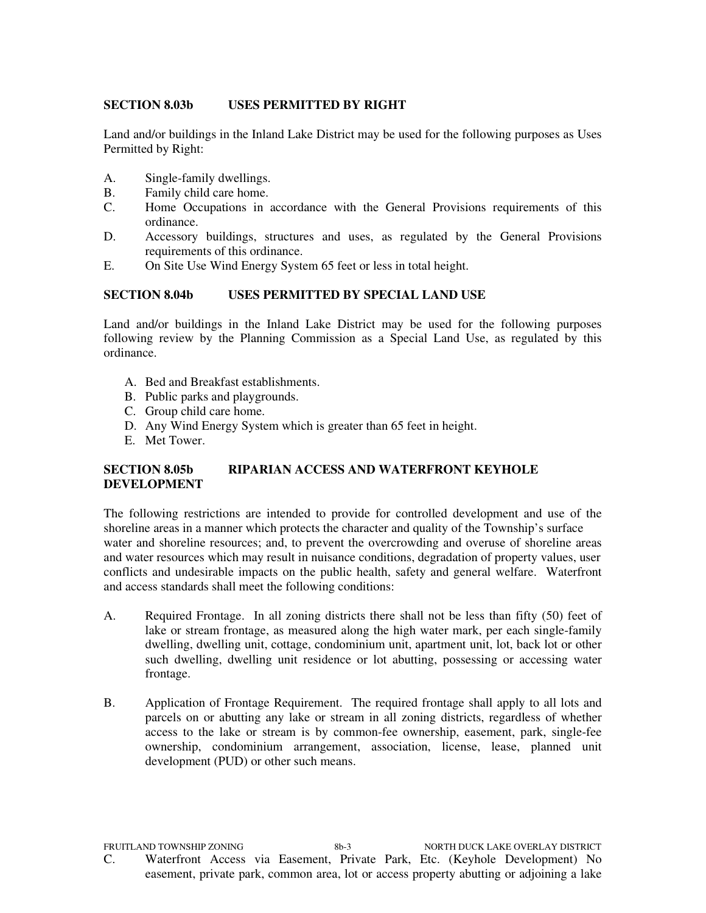### **SECTION 8.03b USES PERMITTED BY RIGHT**

Land and/or buildings in the Inland Lake District may be used for the following purposes as Uses Permitted by Right:

- A. Single-family dwellings.
- B. Family child care home.<br>C. Home Occupations in a
- Home Occupations in accordance with the General Provisions requirements of this ordinance.
- D. Accessory buildings, structures and uses, as regulated by the General Provisions requirements of this ordinance.
- E. On Site Use Wind Energy System 65 feet or less in total height.

## **SECTION 8.04b USES PERMITTED BY SPECIAL LAND USE**

Land and/or buildings in the Inland Lake District may be used for the following purposes following review by the Planning Commission as a Special Land Use, as regulated by this ordinance.

- A. Bed and Breakfast establishments.
- B. Public parks and playgrounds.
- C. Group child care home.
- D. Any Wind Energy System which is greater than 65 feet in height.
- E. Met Tower.

## **SECTION 8.05b RIPARIAN ACCESS AND WATERFRONT KEYHOLE DEVELOPMENT**

The following restrictions are intended to provide for controlled development and use of the shoreline areas in a manner which protects the character and quality of the Township's surface water and shoreline resources; and, to prevent the overcrowding and overuse of shoreline areas and water resources which may result in nuisance conditions, degradation of property values, user conflicts and undesirable impacts on the public health, safety and general welfare. Waterfront and access standards shall meet the following conditions:

- A. Required Frontage. In all zoning districts there shall not be less than fifty (50) feet of lake or stream frontage, as measured along the high water mark, per each single-family dwelling, dwelling unit, cottage, condominium unit, apartment unit, lot, back lot or other such dwelling, dwelling unit residence or lot abutting, possessing or accessing water frontage.
- B. Application of Frontage Requirement. The required frontage shall apply to all lots and parcels on or abutting any lake or stream in all zoning districts, regardless of whether access to the lake or stream is by common-fee ownership, easement, park, single-fee ownership, condominium arrangement, association, license, lease, planned unit development (PUD) or other such means.

FRUITLAND TOWNSHIP ZONING 8b-3 NORTH DUCK LAKE OVERLAY DISTRICT C.Waterfront Access via Easement, Private Park, Etc. (Keyhole Development) No easement, private park, common area, lot or access property abutting or adjoining a lake